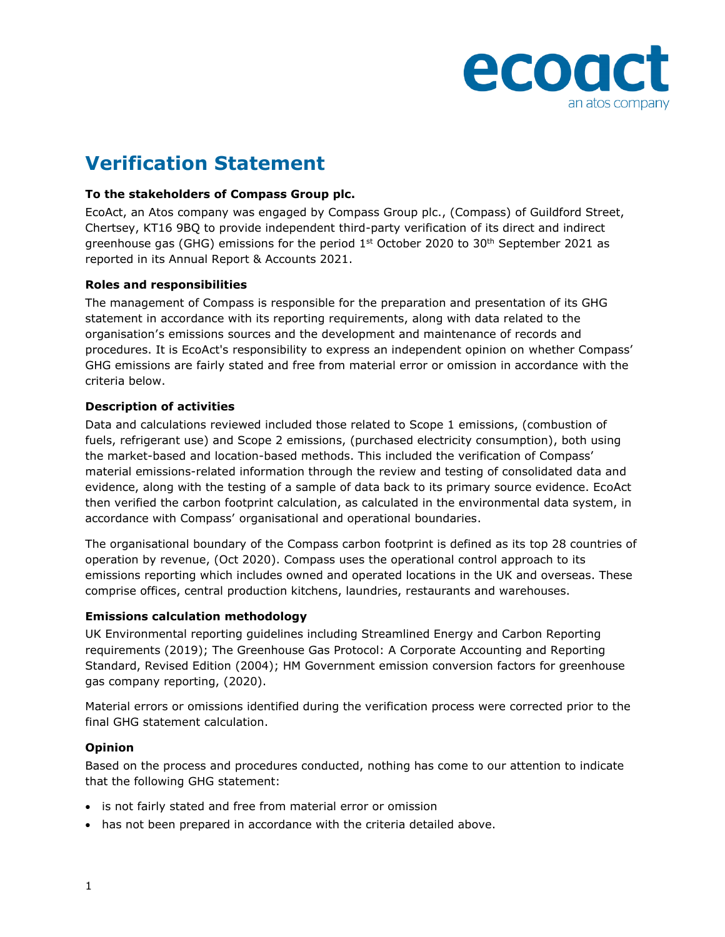

# **Verification Statement**

### **To the stakeholders of Compass Group plc.**

EcoAct, an Atos company was engaged by Compass Group plc., (Compass) of Guildford Street, Chertsey, KT16 9BQ to provide independent third-party verification of its direct and indirect greenhouse gas (GHG) emissions for the period 1<sup>st</sup> October 2020 to 30<sup>th</sup> September 2021 as reported in its Annual Report & Accounts 2021.

#### **Roles and responsibilities**

The management of Compass is responsible for the preparation and presentation of its GHG statement in accordance with its reporting requirements, along with data related to the organisation's emissions sources and the development and maintenance of records and procedures. It is EcoAct's responsibility to express an independent opinion on whether Compass' GHG emissions are fairly stated and free from material error or omission in accordance with the criteria below.

## **Description of activities**

Data and calculations reviewed included those related to Scope 1 emissions, (combustion of fuels, refrigerant use) and Scope 2 emissions, (purchased electricity consumption), both using the market-based and location-based methods. This included the verification of Compass' material emissions-related information through the review and testing of consolidated data and evidence, along with the testing of a sample of data back to its primary source evidence. EcoAct then verified the carbon footprint calculation, as calculated in the environmental data system, in accordance with Compass' organisational and operational boundaries.

The organisational boundary of the Compass carbon footprint is defined as its top 28 countries of operation by revenue, (Oct 2020). Compass uses the operational control approach to its emissions reporting which includes owned and operated locations in the UK and overseas. These comprise offices, central production kitchens, laundries, restaurants and warehouses.

#### **Emissions calculation methodology**

UK Environmental reporting guidelines including Streamlined Energy and Carbon Reporting requirements (2019); The Greenhouse Gas Protocol: A Corporate Accounting and Reporting Standard, Revised Edition (2004); HM Government emission conversion factors for greenhouse gas company reporting, (2020).

Material errors or omissions identified during the verification process were corrected prior to the final GHG statement calculation.

#### **Opinion**

Based on the process and procedures conducted, nothing has come to our attention to indicate that the following GHG statement:

- is not fairly stated and free from material error or omission
- has not been prepared in accordance with the criteria detailed above.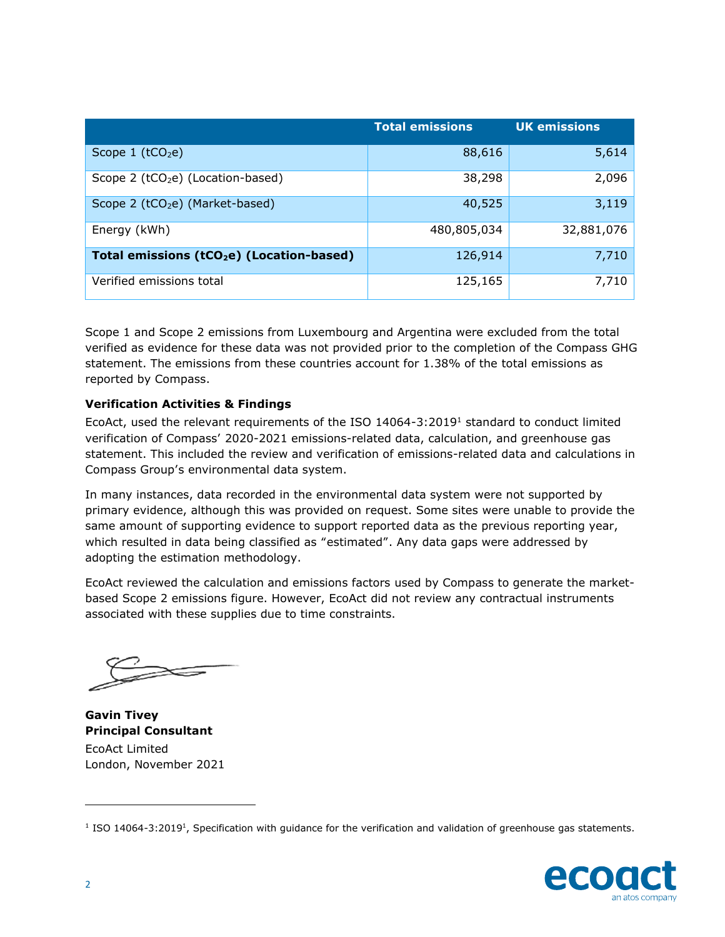|                                                       | <b>Total emissions</b> | <b>UK emissions</b> |
|-------------------------------------------------------|------------------------|---------------------|
| Scope $1$ (tCO <sub>2</sub> e)                        | 88,616                 | 5,614               |
| Scope $2$ (tCO <sub>2</sub> e) (Location-based)       | 38,298                 | 2,096               |
| Scope 2 (tCO <sub>2</sub> e) (Market-based)           | 40,525                 | 3,119               |
| Energy (kWh)                                          | 480,805,034            | 32,881,076          |
| Total emissions (tCO <sub>2</sub> e) (Location-based) | 126,914                | 7,710               |
| Verified emissions total                              | 125,165                | 7,710               |

Scope 1 and Scope 2 emissions from Luxembourg and Argentina were excluded from the total verified as evidence for these data was not provided prior to the completion of the Compass GHG statement. The emissions from these countries account for 1.38% of the total emissions as reported by Compass.

## **Verification Activities & Findings**

EcoAct, used the relevant requirements of the ISO 14064-3:2019<sup>1</sup> standard to conduct limited verification of Compass' 2020-2021 emissions-related data, calculation, and greenhouse gas statement. This included the review and verification of emissions-related data and calculations in Compass Group's environmental data system.

In many instances, data recorded in the environmental data system were not supported by primary evidence, although this was provided on request. Some sites were unable to provide the same amount of supporting evidence to support reported data as the previous reporting year, which resulted in data being classified as "estimated". Any data gaps were addressed by adopting the estimation methodology.

EcoAct reviewed the calculation and emissions factors used by Compass to generate the marketbased Scope 2 emissions figure. However, EcoAct did not review any contractual instruments associated with these supplies due to time constraints.

**Gavin Tivey Principal Consultant** EcoAct Limited London, November 2021

<sup>&</sup>lt;sup>1</sup> ISO 14064-3:2019<sup>1</sup>, Specification with guidance for the verification and validation of greenhouse gas statements.